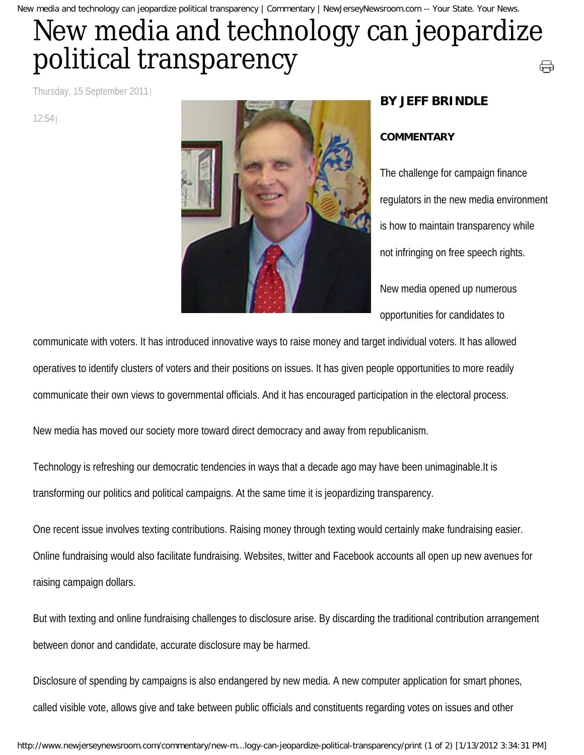New media and technology can jeopardize political transparency | Commentary | NewJerseyNewsroom.com -- Your State. Your News.

## New media and technology can jeopardize political transparency ⊜

Thursday, 15 September 2011

12:54



## **BY JEFF BRINDLE**

## **COMMENTARY**

The challenge for campaign finance regulators in the new media environment is how to maintain transparency while not infringing on free speech rights. New media opened up numerous opportunities for candidates to

communicate with voters. It has introduced innovative ways to raise money and target individual voters. It has allowed operatives to identify clusters of voters and their positions on issues. It has given people opportunities to more readily communicate their own views to governmental officials. And it has encouraged participation in the electoral process.

New media has moved our society more toward direct democracy and away from republicanism.

Technology is refreshing our democratic tendencies in ways that a decade ago may have been unimaginable.It is transforming our politics and political campaigns. At the same time it is jeopardizing transparency.

One recent issue involves texting contributions. Raising money through texting would certainly make fundraising easier. Online fundraising would also facilitate fundraising. Websites, twitter and Facebook accounts all open up new avenues for raising campaign dollars.

But with texting and online fundraising challenges to disclosure arise. By discarding the traditional contribution arrangement between donor and candidate, accurate disclosure may be harmed.

Disclosure of spending by campaigns is also endangered by new media. A new computer application for smart phones, called visible vote, allows give and take between public officials and constituents regarding votes on issues and other